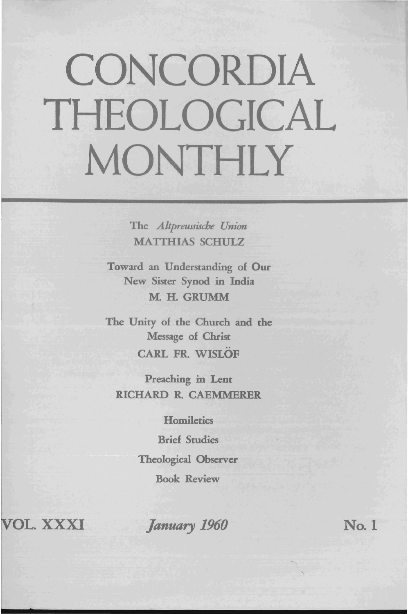# CONCORDIA THEOLOGICAL MONTHLY

The *Altpreussiscbe Union*  MATTHIAS SCHULZ

Toward an Understanding of Our New Sister Synod in India M. H. GRUMM

The Unity of the Church and the Message of Christ CARL FR WISLOF

Preaching in Lent RICHARD R CAEMMERER

**Homiletics** 

Brief Studies Theological Observer Book Review

VOL. XXXI

*January 1960* No. 1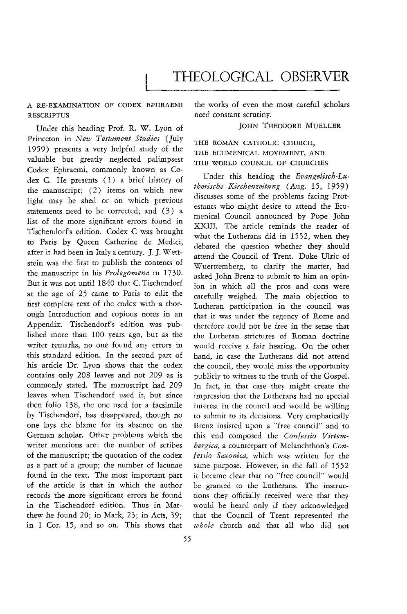# THEOLOGICAL OBSERVER

# A RE-EXAMINATION OF CODEX EPHRAEMI RESCRIPTUS

Under this heading Prof. R. W. Lyon of Princeton in *New Testament Studies* (July 1959) presents a very helpful study of the valuable but greatly neglected palimpsest Codex Ephraemi, commonly known as Codex C. He presents (1) a brief history of the manuscript; (2) items on which new light may be shed or on which previous statements need to be corrected; and (3) a list of the more significant errors found in Tischendorf's edition. Codex C was brought to Paris by Queen Catherine de Medici, after it had been in Italy a century. J. J. Wettstein was the first to publish the contents of the manuscript in his *Prolegomena* in 1730. But it was not until 1840 that C. Tischendorf at the age of 25 came to Paris to edit the first complete text of the codex with a thorough Introduction and copious notes in an Appendix. Tischendorf's edition was published more than 100 years ago, but as the writer remarks, no one found any errors in this standard edition. In the second part of his article Dr. Lyon shows that the codex contains only 208 leaves and not 209 as is commonly stated. The manuscript had 209 leaves when Tischendorf used it, but since then folio 138, the one used for a facsimile by Tischendorf, has disappeared, though no one lays the blame for its absence on the German scholar. Other problems which the writer mentions are: the number of scribes of the manuscript; the quotation of the codex as a part of a group; the number of lacunae found in the text. The most important part of the article is that in which the author records the more significant errors he found in the Tischendorf edition. Thus in Matthew he found 20; in Mark, 23; in Acts, 39; in 1 Cor. 15, and so on. This shows that

the works of even the most careful scholars need constant scrutiny.

#### JOHN THEODORE MUELLER

# THE ROMAN CATHOLIC CHURCH, THE ECUMENICAL MOVEMENT, AND THE WORLD COUNCIL OF CHURCHES

Under this heading the *Bvangelisch-Lu*therische Kirchenzeitung (Aug. 15, 1959) discusses some of the problems facing Protestants who might desire to attend the Ecumenical Council announced by Pope John XXIII. The article reminds the reader of what the Lutherans did in 1552, when they debated the question whether they should attend the Council of Trent. Duke Ulric of \5(!uerttemberg, to clarify the matter, had asked John Brenz to submit to him an opinion in which all the pros and cons were carefully weighed. The main objection to Lutheran participation in the council was that it was under the regency of Rome and therefore could not be free in the sense that the Lutheran strictures of Roman doctrine would receive a fair hearing. On the other hand, in case the Lutherans did not attend the council, they would miss the opportunity publicly to witness to the truth of the Gospel. In fact, in that case they might create the impression that the Lutherans had no special interest in the council and would be willing to submit to its decisions. Very emphatically Brenz insisted upon a "free council" and to this end composed the *Confessio Virtembergica,* a counterpart of Melanchthon's *Confessio Saxonica,* which was written for the same purpose. However, in the fall of 1552 it became clear that no "free council" would be granted to the Lutherans. The instructions they officially received were that they would be heard only if they acknowledged that the Council of Trent represented the *whole* church and that all who did not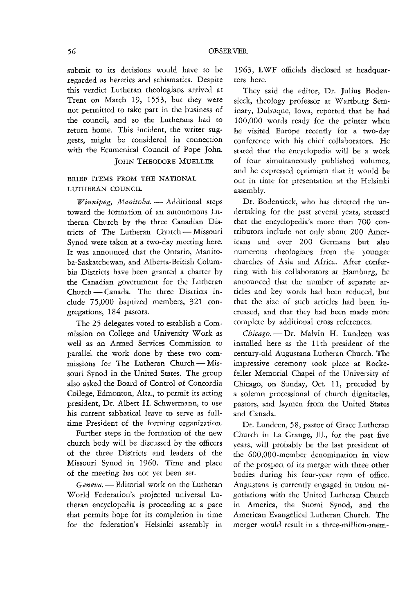submit to its decisions would have to be regarded as heretics and schismatics. Despite this verdict Lutheran theologians arrived at Trent on March 19, 1553, but they were not permitted to take part in the business of the council, and so the Lutherans had to return home. This incident, the writer suggests, might be considered in connection with the Ecumenical Council of Pope John.

# JOHN THEODORE MUELLER

# BRIEF ITEMS FROM THE NATIONAL LUTHERAN COUNCIL

*Winnipeg, Manitoba.* - Additional steps toward the formation of an autonomous Lutheran Church by the three Canadian Districts of The Lutheran Church - Missouri Synod were taken at a two-day meeting here. **It** was announced that the **Ontario, Manito**ba-Saskatchewan, and Alberta-British Columbia Districts have been granted a charter by the Canadian government for the Lutheran Church - Canada. The three Districts include 75,000 baptized members, 321 congregations, 184 pastors.

The 25 delegates voted to establish a Commission on College and University Work as well as an Armed Services Commission to parallel the work done by these two commissions for The Lutheran Church - Missouri Synod in the United States. The group also asked the Board of Control of Concordia College, Edmonton, Alta., to permit its acting president, Dr. Albert H. Schwermann, to use his current sabbatical leave to serve as fulltime President of the forming organization.

Further steps in the formation of the new church body will be discussed by the officers of the three Districts and leaders of the Missouri Synod in 1960. Time and place of the meeting has not yet been set.

Geneva. - Editorial work on the Lutheran World Federation's projected universal Lutheran encyclopedia is proceeding at a pace that permits hope for its completion in time for the federation's Helsinki assembly in

1963, LWF officials disclosed at headquarters here.

They said the editor, Dr. Julius Bodensieck, theology professor at Wartburg Seminary, Dubuque, Iowa, reported that he had 100,000 words ready for the printer when he visited Europe recently for a two-day conference with his chief collaborators. He stated that the encyclopedia will be a work of four simultaneously published volumes, and he expressed optimism that it would be out in *time* for presentation at the Helsinki assembly.

Dr. Bodensieck, who has directed the undertaking for the past several years, stressed that the encyclopedia's more than 700 contributors include not only about 200 Americans and over 200 Germans but also numerous theologians from **the younger**  churches of Asia and Africa. After conferring with his collaborators at Hamburg, he announced that the number of separate articles and key words had been reduced, but that the size of such articles had been increased, and that they had been made more complete by additional cross references.

Chicago. - Dr. Malvin H. Lundeen was installed here as the 11th president of the century-old Augustana Lutheran Church. The impressive ceremony took place at Rockefeller Memorial Chapel of the University of Chicago, on Sunday, Oct. 11, preceded by a solemn processional of church dignitaries, pastors, and laymen from the United States and Canada.

Dr. Lundeen, 58, pastor of Grace Lutheran Church in La Grange, Ill., for the past five years, will probably be the last president of the 600,000-member denomination in view of the prospect of its merger with three other bodies during his four-year term of office. Augustana is currently engaged in union negotiations with the United Lutheran Church in America, the Suomi Synod, and the American Evangelical Lutheran Church. The merger would result in a three-million-mem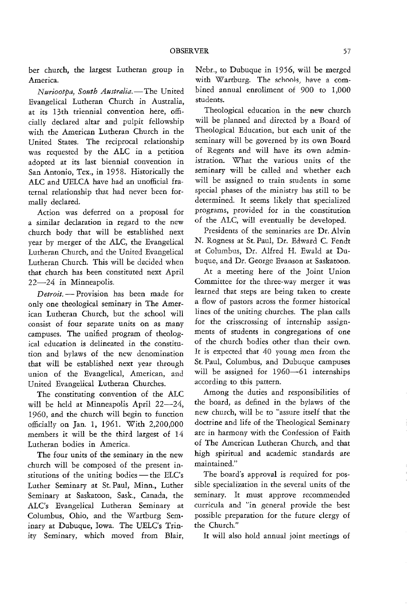ber church, the largest Lutheran group in America.

*Nuriootpa, South Australia.-*The United Evangelical Lutheran Church in Australia, at its 13th triennial convention here, officially declared altar and pulpit fellowship with the American Lutheran Church in the United States. The reciprocal relationship was requested by the ALC in a petition adopted at its last biennial convention in San Antonio, Tex., in 1958. Historically the ALC and UELCA have had an unofficial fraternal relationship that had never been formally declared.

Action was deferred on a proposal for a similar declaration in regard to the new church body that will be established next year by merger of the ALC, the Evangelical Lutheran Church, and the United Evangelical Lutheran Church. This will be decided when that church has been constituted next April 22-24 in Minneapolis.

*Detroit.* - Provision has been made for only one theological seminary in The American Lutheran Church, but the school will consist of four separate units on as many campuses. The unified program of theological education is delineated in the constitution and bylaws of the new denomination that will be established next year through union of the Evangelical, American, and United Evangelical Lutheran Churches.

The constituting convention of the ALC will be held at Minneapolis April 22-24, 1960, and the church will begin to function officially on Jan. 1, 1961. With 2,200,000 members it will be the third largest of 14 Lutheran bodies in America.

The four units of the seminary in the new church will be composed of the present institutions of the uniting bodies - the ELC's Luther Seminary at St. Paul, Minn., Luther Seminary at Saskatoon, Sask., Canada, the ALC's Evangelical Lutheran Seminary at Columbus, Ohio, and the Wartburg Seminary at Dubuque, Iowa. The DELC's Trinity Seminary, which moved from Blair, Nebr., to Dubuque in 1956, will be merged with Wartburg. The schools, have a combined annual enrollment of 900 to 1,000 students.

Theological education in the new church will be planned and directed by a Board of Theological Education, but each unit of the seminary will be governed by its own Board of Regents and will have its own administration. What the various units of the seminary will be called and whether each will be assigned to train students in some special phases of the ministry has still to be determined. It seems likely that specialized programs, provided for in the constitution of the ALC, will eventually be developed.

Presidents of the seminaries are Dr. Alvin N. Rogness at St. Paul, Dr. Edward C. Fendt at Columbus, Dr. Alfred H. Ewald at Dubuque, and Dr. George Evanson at Saskatoon.

At a meeting here of the Joint Union Committee for the three-way merger it was learned that steps are being taken to create a flow of pastors across the former historical lines of the uniting churches. The plan calls for the crisscrossing of internship assignments of students in congregations of one of the church bodies other than their own. It is expected that 40 young men from the St. Paul, Columbus, and Dubuque campuses will be assigned for 1960-61 internships according to this pattern.

Among the duties and responsibilities of the board, as defined in the bylaws of the new church, will be to "assure itself that the doctrine and life of the Theological Seminary are in harmony with the Confession of Faith of The American Lutheran Church, and that high spiritual and academic standards are maintained."

The board's approval *is* required for possible specialization in the several units of the seminary. It must approve recommended curricula and "in general provide the best possible preparation for the future clergy of the Church."

It will also hold annual joint meetings of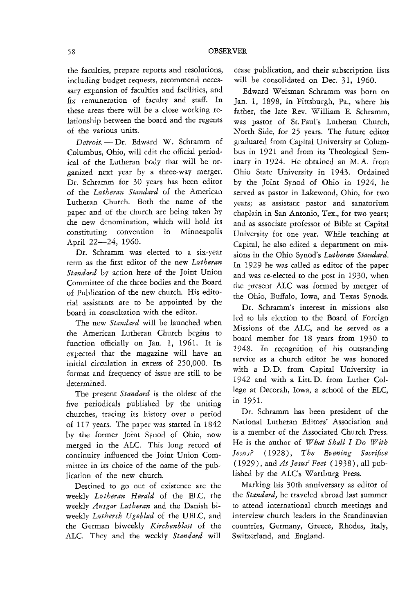the faculties, prepare reports and resolutions, including budget requests, recommend necessary expansion of faculties and facilities, and fix remuneration of faculty and staff. In these areas there will be a close working relationship between the board and the regents of the various units.

Detroit. - Dr. Edward W. Schramm of Columbus, Ohio, will edit the official periodical of the Lutheran body that will be organized next year by a three-way merger. Dr. Schramm for 30 years has been editor of the *Lutheran Standard* of the American Lutheran Church. Both the name of the paper and of the church are being taken by the new denomination, which will hold its constituting convention in Minneapolis April 22-24, 1960.

**Dr.** Schramm was **elected to a** six~year term as the first editor of the new *Lutheran Standard* by action here of the Joint Union Committee of the three bodies and the Board of Publication of the new church. His editorial assistants are to be appointed by the board in consultation with the editor.

The new *Standard* will be launched when the American Lutheran Church begins to function officially on Jan. 1, 1961. It is expected that the magazine will have an initial circulation in excess of *250,000.* Its format and frequency of issue are still to be determined.

The present *Standard* is the oldest of the five periodicals published by the uniting churches, tracing its history over a period of 117 years. The paper was started in 1842 by the former Joint Synod of Ohio, now merged in the ALC. This long record of continuity influenced the Joint Union Committee in its choice of the name of the publication of the new church.

Destined to go out of existence are the weekly *Lutheran Herald* of the ELC, the weekly *Ansgar Lutheran* and the Danish biweekly *Luthersk Ugeblad* of the UELC, and the German biweekly *Kirchenblatt* of the ALC. They and the weekly Standard will

cease publication, and their subscription lists will be consolidated on Dec. 31, 1960.

Edward *VI* eisman Schramm was born on Jan. 1, 1898, in Pittsburgh, Pa., where his father, the late Rev. William E. Schramm, was pastor of St. Paul's Lutheran Church, North Side, for 25 years. The future editor graduated from Capital University at Columbus in 1921 and from its Theological Seminary in 1924. He obtained an M. A. from Ohio State University in 1943. Ordained by the Joint Synod of Ohio in 1924, he served as pastor in Lakewood, Ohio, for two years; as assistant pastor and sanatorium chaplain in San Antonio, Tex., for two years; and as associate professor of Bible at Capital University for one year. While teaching at Capital, he also edited a department on missions in the Ohio Synod's *Lutheran Standard*. In 1929 he was called as editor of the paper and was re-elected to the post in 1930, when the present ALC was formed by merger of the Ohio, Buffalo, Iowa, and Texas Synods.

Dr. Schramm's interest in missions also led to his election to the Board of Foreign Missions of the ALC, and he served as a board member for 18 years from 1930 to 1948. In recognition of his outstanding service as a church editor he was honored with a D.D. from Capital University in 1942 and with a Litt. D. from Luther College at Decorah, Iowa, a school of the ELC, in 1951.

Dr. Schramm has been president of the National Lutheran Editors' Association and is a member of the Associated Church Press. He is the author of *What Shall I Do With JesttS?* (1928), *The Evening Sacrifice*  (1929), and *At Jesus' Feet* (1938), all published by the ALC's Wartburg Press.

Marking his 30th anniversary as editor of the *Standard*, he traveled abroad last summer to attend international church meetings and interview church leaders in the Scandinavian countries, Germany, Greece, Rhodes, Italy, Switzerland, and England.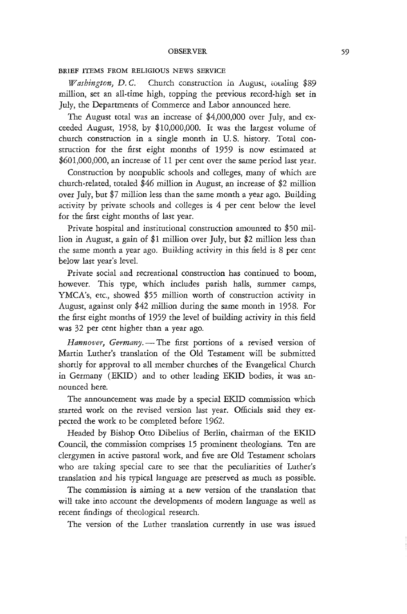#### OBSERVER

### BRIEF ITEMS FROM RELIGIOUS NEWS SERVICE

*Washington, D.C.* Church construction in August, totaling \$89 million, set an all-time high, topping the previous record-high set in July, the Departments of Commerce and Labor announced here.

The August total was an increase of \$4,000,000 over July, and exceeded August, 1958, by \$10,000,000. It was the largest volume of church construction in a single month in U. S. history. Total construction for the first eight months of 1959 is now estimated at \$601,000,000, an increase of 11 per cent over the same period last year.

Construction by nonpublic schools and colleges, many of which are church-related, totaled \$46 million in August, an increase of \$2 million over July, but \$7 million less than the same month a year ago. Building activity by private schools and colleges is 4 per cent below the level for the first eight months of last year.

Private hospital and institutional construction amounted to \$50 million in August, a gain of \$1 million over July, but \$2 million less than the same month a year ago. Building activity in this field is 8 per cent below last year's level.

Private social and recreational construction has continued to boom, however. This type, which includes parish halls, summer camps, YMCA's, etc., showed \$55 million worth of construction activity in August, against only \$42 million during the same month in 1958. For the first eight months of 1959 the level of building activity in this field was 32 per cent higher than a year ago.

*Hannover, Germany.* - The first portions of a revised version of Martin Luther's translation of the Old Testament will be submitted shortly for approval to all member churches of the Evangelical Church in Germany (EKID) and to other leading EKID bodies, it was announced here.

The announcement was made by a special EKID commission which started work on the revised version last year. Officials said they expected the work to be completed before 1962.

Headed by Bishop Otto Dibelius of Berlin, chairman of the EKID Council, the commission comprises 15 prominent theologians. Ten are clergymen in active pastoral work, and five are Old Testament scholars who are taking special care to *see* that the peculiarities of Luther's translation and his typical language are preserved as much as possible.

The commission is aiming at a new version of the translation that will take into account the developments of modern language as well as recent findings of theological research.

The version of the Luther translation currently in use was issued